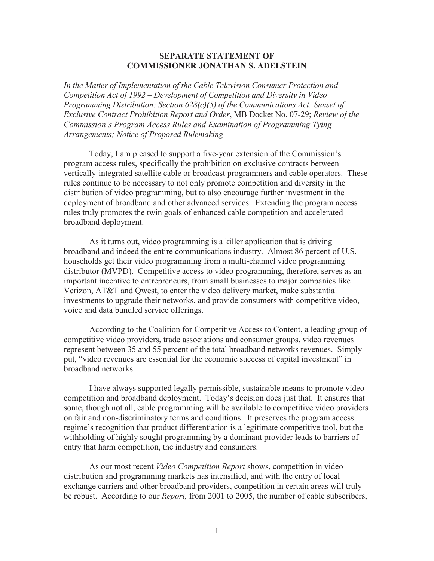## **SEPARATE STATEMENT OF COMMISSIONER JONATHAN S. ADELSTEIN**

*In the Matter of Implementation of the Cable Television Consumer Protection and Competition Act of 1992 – Development of Competition and Diversity in Video Programming Distribution: Section 628(c)(5) of the Communications Act: Sunset of Exclusive Contract Prohibition Report and Order*, MB Docket No. 07-29; *Review of the Commission's Program Access Rules and Examination of Programming Tying Arrangements; Notice of Proposed Rulemaking*

Today, I am pleased to support a five-year extension of the Commission's program access rules, specifically the prohibition on exclusive contracts between vertically-integrated satellite cable or broadcast programmers and cable operators. These rules continue to be necessary to not only promote competition and diversity in the distribution of video programming, but to also encourage further investment in the deployment of broadband and other advanced services. Extending the program access rules truly promotes the twin goals of enhanced cable competition and accelerated broadband deployment.

As it turns out, video programming is a killer application that is driving broadband and indeed the entire communications industry. Almost 86 percent of U.S. households get their video programming from a multi-channel video programming distributor (MVPD). Competitive access to video programming, therefore, serves as an important incentive to entrepreneurs, from small businesses to major companies like Verizon, AT&T and Qwest, to enter the video delivery market, make substantial investments to upgrade their networks, and provide consumers with competitive video, voice and data bundled service offerings.

According to the Coalition for Competitive Access to Content, a leading group of competitive video providers, trade associations and consumer groups, video revenues represent between 35 and 55 percent of the total broadband networks revenues. Simply put, "video revenues are essential for the economic success of capital investment" in broadband networks.

I have always supported legally permissible, sustainable means to promote video competition and broadband deployment. Today's decision does just that. It ensures that some, though not all, cable programming will be available to competitive video providers on fair and non-discriminatory terms and conditions. It preserves the program access regime's recognition that product differentiation is a legitimate competitive tool, but the withholding of highly sought programming by a dominant provider leads to barriers of entry that harm competition, the industry and consumers.

As our most recent *Video Competition Report* shows, competition in video distribution and programming markets has intensified, and with the entry of local exchange carriers and other broadband providers, competition in certain areas will truly be robust. According to our *Report,* from 2001 to 2005, the number of cable subscribers,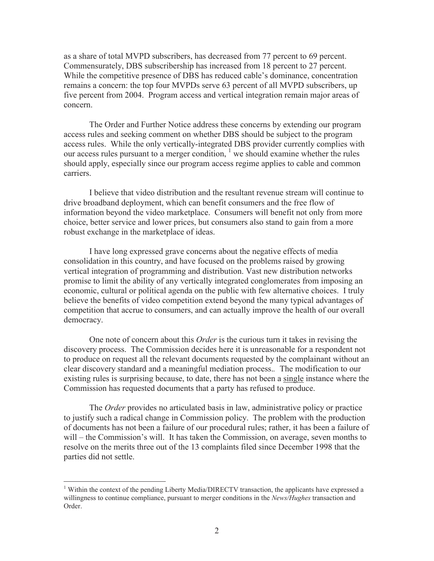as a share of total MVPD subscribers, has decreased from 77 percent to 69 percent. Commensurately, DBS subscribership has increased from 18 percent to 27 percent. While the competitive presence of DBS has reduced cable's dominance, concentration remains a concern: the top four MVPDs serve 63 percent of all MVPD subscribers, up five percent from 2004. Program access and vertical integration remain major areas of concern.

The Order and Further Notice address these concerns by extending our program access rules and seeking comment on whether DBS should be subject to the program access rules. While the only vertically-integrated DBS provider currently complies with our access rules pursuant to a merger condition,  $\frac{1}{1}$  we should examine whether the rules should apply, especially since our program access regime applies to cable and common carriers.

I believe that video distribution and the resultant revenue stream will continue to drive broadband deployment, which can benefit consumers and the free flow of information beyond the video marketplace. Consumers will benefit not only from more choice, better service and lower prices, but consumers also stand to gain from a more robust exchange in the marketplace of ideas.

I have long expressed grave concerns about the negative effects of media consolidation in this country, and have focused on the problems raised by growing vertical integration of programming and distribution. Vast new distribution networks promise to limit the ability of any vertically integrated conglomerates from imposing an economic, cultural or political agenda on the public with few alternative choices. I truly believe the benefits of video competition extend beyond the many typical advantages of competition that accrue to consumers, and can actually improve the health of our overall democracy.

One note of concern about this *Order* is the curious turn it takes in revising the discovery process. The Commission decides here it is unreasonable for a respondent not to produce on request all the relevant documents requested by the complainant without an clear discovery standard and a meaningful mediation process.*.* The modification to our existing rules is surprising because, to date, there has not been a single instance where the Commission has requested documents that a party has refused to produce.

The *Order* provides no articulated basis in law, administrative policy or practice to justify such a radical change in Commission policy. The problem with the production of documents has not been a failure of our procedural rules; rather, it has been a failure of will – the Commission's will. It has taken the Commission, on average, seven months to resolve on the merits three out of the 13 complaints filed since December 1998 that the parties did not settle.

<sup>&</sup>lt;sup>1</sup> Within the context of the pending Liberty Media/DIRECTV transaction, the applicants have expressed a willingness to continue compliance, pursuant to merger conditions in the *News/Hughes* transaction and Order.